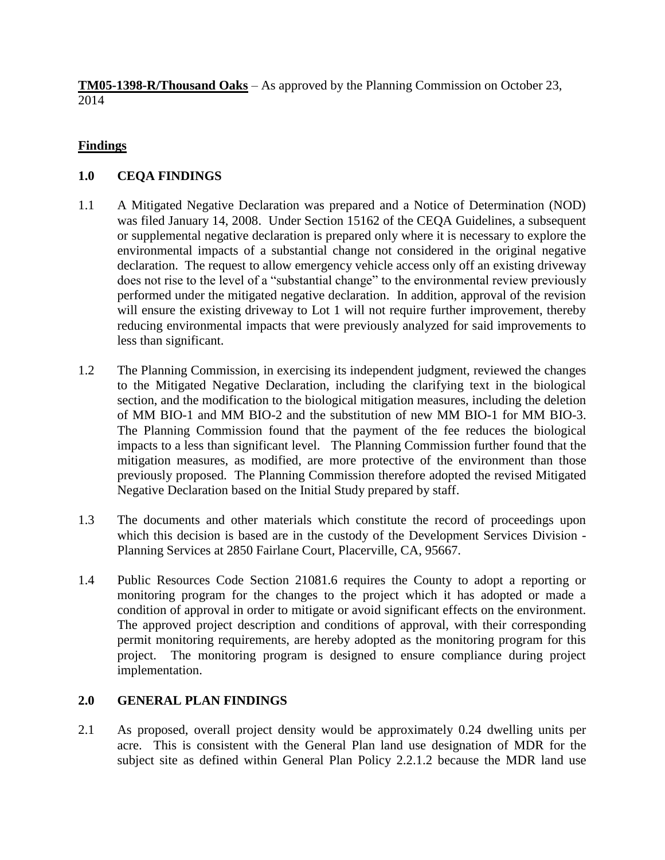**TM05-1398-R/Thousand Oaks** – As approved by the Planning Commission on October 23, 2014

## **Findings**

# **1.0 CEQA FINDINGS**

- 1.1 A Mitigated Negative Declaration was prepared and a Notice of Determination (NOD) was filed January 14, 2008. Under Section 15162 of the CEQA Guidelines, a subsequent or supplemental negative declaration is prepared only where it is necessary to explore the environmental impacts of a substantial change not considered in the original negative declaration. The request to allow emergency vehicle access only off an existing driveway does not rise to the level of a "substantial change" to the environmental review previously performed under the mitigated negative declaration. In addition, approval of the revision will ensure the existing driveway to Lot 1 will not require further improvement, thereby reducing environmental impacts that were previously analyzed for said improvements to less than significant.
- 1.2 The Planning Commission, in exercising its independent judgment, reviewed the changes to the Mitigated Negative Declaration, including the clarifying text in the biological section, and the modification to the biological mitigation measures, including the deletion of MM BIO-1 and MM BIO-2 and the substitution of new MM BIO-1 for MM BIO-3. The Planning Commission found that the payment of the fee reduces the biological impacts to a less than significant level. The Planning Commission further found that the mitigation measures, as modified, are more protective of the environment than those previously proposed. The Planning Commission therefore adopted the revised Mitigated Negative Declaration based on the Initial Study prepared by staff.
- 1.3 The documents and other materials which constitute the record of proceedings upon which this decision is based are in the custody of the Development Services Division - Planning Services at 2850 Fairlane Court, Placerville, CA, 95667.
- 1.4 Public Resources Code Section 21081.6 requires the County to adopt a reporting or monitoring program for the changes to the project which it has adopted or made a condition of approval in order to mitigate or avoid significant effects on the environment. The approved project description and conditions of approval, with their corresponding permit monitoring requirements, are hereby adopted as the monitoring program for this project. The monitoring program is designed to ensure compliance during project implementation.

## **2.0 GENERAL PLAN FINDINGS**

2.1 As proposed, overall project density would be approximately 0.24 dwelling units per acre. This is consistent with the General Plan land use designation of MDR for the subject site as defined within General Plan Policy 2.2.1.2 because the MDR land use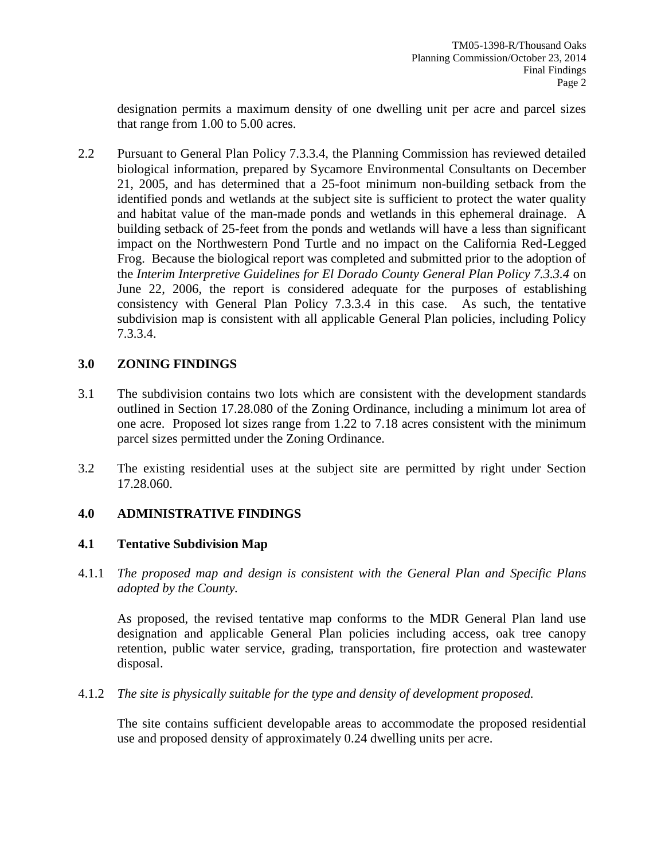designation permits a maximum density of one dwelling unit per acre and parcel sizes that range from 1.00 to 5.00 acres.

2.2 Pursuant to General Plan Policy 7.3.3.4, the Planning Commission has reviewed detailed biological information, prepared by Sycamore Environmental Consultants on December 21, 2005, and has determined that a 25-foot minimum non-building setback from the identified ponds and wetlands at the subject site is sufficient to protect the water quality and habitat value of the man-made ponds and wetlands in this ephemeral drainage. A building setback of 25-feet from the ponds and wetlands will have a less than significant impact on the Northwestern Pond Turtle and no impact on the California Red-Legged Frog. Because the biological report was completed and submitted prior to the adoption of the *Interim Interpretive Guidelines for El Dorado County General Plan Policy 7.3.3.4* on June 22, 2006, the report is considered adequate for the purposes of establishing consistency with General Plan Policy 7.3.3.4 in this case. As such, the tentative subdivision map is consistent with all applicable General Plan policies, including Policy 7.3.3.4.

## **3.0 ZONING FINDINGS**

- 3.1 The subdivision contains two lots which are consistent with the development standards outlined in Section 17.28.080 of the Zoning Ordinance, including a minimum lot area of one acre. Proposed lot sizes range from 1.22 to 7.18 acres consistent with the minimum parcel sizes permitted under the Zoning Ordinance.
- 3.2 The existing residential uses at the subject site are permitted by right under Section 17.28.060.

## **4.0 ADMINISTRATIVE FINDINGS**

## **4.1 Tentative Subdivision Map**

4.1.1 *The proposed map and design is consistent with the General Plan and Specific Plans adopted by the County.*

As proposed, the revised tentative map conforms to the MDR General Plan land use designation and applicable General Plan policies including access, oak tree canopy retention, public water service, grading, transportation, fire protection and wastewater disposal.

4.1.2 *The site is physically suitable for the type and density of development proposed.*

The site contains sufficient developable areas to accommodate the proposed residential use and proposed density of approximately 0.24 dwelling units per acre.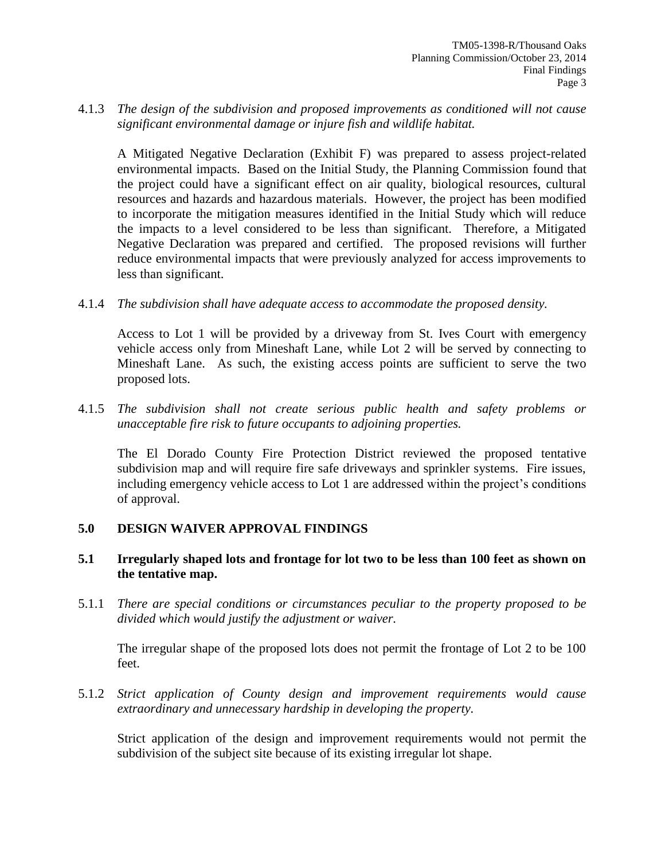#### 4.1.3 *The design of the subdivision and proposed improvements as conditioned will not cause significant environmental damage or injure fish and wildlife habitat.*

A Mitigated Negative Declaration (Exhibit F) was prepared to assess project-related environmental impacts. Based on the Initial Study, the Planning Commission found that the project could have a significant effect on air quality, biological resources, cultural resources and hazards and hazardous materials. However, the project has been modified to incorporate the mitigation measures identified in the Initial Study which will reduce the impacts to a level considered to be less than significant. Therefore, a Mitigated Negative Declaration was prepared and certified. The proposed revisions will further reduce environmental impacts that were previously analyzed for access improvements to less than significant.

4.1.4 *The subdivision shall have adequate access to accommodate the proposed density.* 

Access to Lot 1 will be provided by a driveway from St. Ives Court with emergency vehicle access only from Mineshaft Lane, while Lot 2 will be served by connecting to Mineshaft Lane. As such, the existing access points are sufficient to serve the two proposed lots.

4.1.5 *The subdivision shall not create serious public health and safety problems or unacceptable fire risk to future occupants to adjoining properties.* 

The El Dorado County Fire Protection District reviewed the proposed tentative subdivision map and will require fire safe driveways and sprinkler systems. Fire issues, including emergency vehicle access to Lot 1 are addressed within the project's conditions of approval.

## **5.0 DESIGN WAIVER APPROVAL FINDINGS**

#### **5.1 Irregularly shaped lots and frontage for lot two to be less than 100 feet as shown on the tentative map.**

5.1.1 *There are special conditions or circumstances peculiar to the property proposed to be divided which would justify the adjustment or waiver.*

The irregular shape of the proposed lots does not permit the frontage of Lot 2 to be 100 feet.

5.1.2 *Strict application of County design and improvement requirements would cause extraordinary and unnecessary hardship in developing the property.*

Strict application of the design and improvement requirements would not permit the subdivision of the subject site because of its existing irregular lot shape.